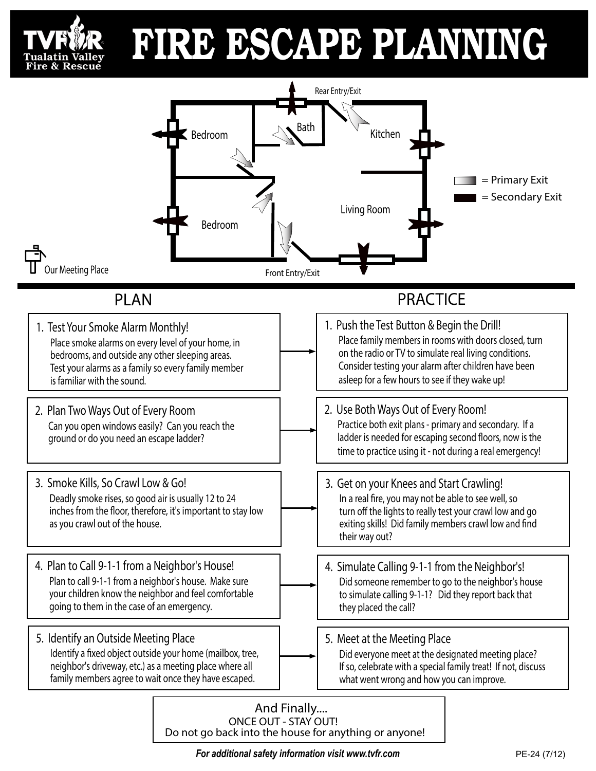

## FIRE ESCAPE PLANNING



*For additional safety information visit www.tvfr.com* **PE-24 (7/12)** PE-24 (7/12)

Do not go back into the house for anything or anyone!